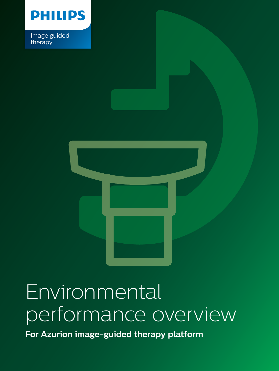

Image guided therapy



**For Azurion image-guided therapy platform**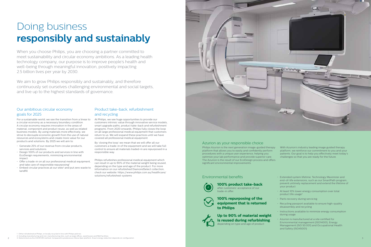# Doing business **responsibly and sustainably**

When you choose Philips, you are choosing a partner committed to meet sustainability and circular economy ambitions. As a leading health technology company, our purpose is to improve people's health and well-being through meaningful innovation, positively impacting 2.5 billion lives per year by 2030.

We aim to grow Philips responsibly and sustainably, and therefore continuously set ourselves challenging environmental and social targets, and live up to the highest standards of governance.

# Azurion as your responsible choice

Philips Azurion is the next generation image-guided therapy platform that allows you to easily and confidently perform procedures with a unique user experience, helping you optimize your lab performance and provide superior care. The Azurion is the result of our EcoDesign process and offers significant environmental improvements.



With Azurion's industry leading image guided therapy platform, we reinforce our commitment to you and your patients. Our goal is to help you effectively meet today's challenges so that you are ready for the future.

# Our ambitious circular economy goals for 2025

Philips refurbishes professional medical equipment which can result in up to 90% of the material weight being reused, depending on the type and age of the product. For more information on our refurbished DiamondSelect collection, check our website: [https://www.philips.com.au/healthcare/](https://www.philips.com.au/healthcare/solutions/refurbished-systems) [solutions/refurbished-systems](https://www.philips.com.au/healthcare/solutions/refurbished-systems) entity and the solutions/refurbished-systems entity and the solutions of the Environmental benefits



For a sustainable world, we see the transition from a linear to a circular economy as a necessary boundary condition. A circular economy requires innovation in the areas of material, component and product reuse, as well as related business models. By using materials more effectively, we strive to decouple economic growth from the use of natural resources and ecosystems and create more value for our products and solutions. By 2025 we will aim to:

- Generate 25% of our revenue from circular products, services and solutions.
- Design 100% of our products and services in line with EcoDesign requirements, minimizing environmental impact.
- Offer a trade-in on all our professional medical equipment, and take care of responsible repurposing<sup>1</sup>
- $\cdot$  Embed circular practices at our sites<sup>2</sup> and put zero waste to landfill

- 1 Either refurbished at Philips, or locally recycled in line with Philips policies
- 2 Including manufacturing and non-manufacturing sites, such as large offices, warehouses and R&D facilities<br>2 3 Determined via the COCIR SRI method. Compared to predecessor Allura Xper platform. Exact energy reduction depe

# Product take-back, refurbishment and recycling

At Philips, we see huge opportunities to provide our customers intrinsic value through innovative service models, smart upgrade paths, product take-back and refurbishment programs. From 2020 onwards, Philips fully closes the loop on all large professional medical equipment that customers return to us. We will expand these practices until we have covered all professional medical equipment.

By 'closing the loop' we mean that we will offer all our customers a trade-in of the equipment and we will take full control to ensure all materials traded-in are repurposed in a responsible way.

> **100% product take-back** after customers' acceptance of our trade-in offer.



**100% repurposing of the equipment that is returned to Philips**



**Up to 90% of material weight is reused during refurbishing**, depending on type and age of product

### • Extended system lifetime. Technology Maximizer and end-of-life extensions, such as our SmartPath program, prevent untimely replacement and extend the lifetime of your product

- At least 10% lower energy consumption over total product life usage<sup>3</sup>
- Parts recovery during servicing
- Recycling passport available to ensure high-quality disassembly and recycling
- Instructions available to minimize energy consumption during usage
- Azurion is manufactured at a site certified for Environmental management (ISO14001), Energy Management (ISO 50.001) and Occupational Health and Safety (ISO45001)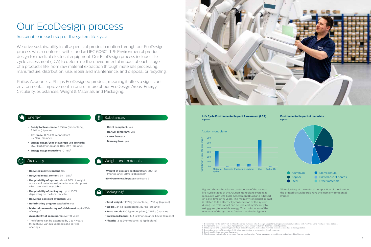# Our EcoDesign process

# Sustainable in each step of the system life cycle

We drive sustainability in all aspects of product creation through our EcoDesign process which conforms with standard IEC 60601-1-9: Environmental product design for medical electrical equipment. Our EcoDesign process includes lifecycle assessment (LCA) to determine the environmental impact at each stage of a product's life, from raw material extraction through materials processing, manufacture, distribution, use, repair and maintenance, and disposal or recycling.

Philips Azurion is a Philips EcoDesigned product, meaning it offers a significant environmental improvement in one or more of our EcoDesign Areas: Energy, Circularity, Substances, Weight & Materials and Packaging.

- **Ready to Scan-mode:** 1.95 kW (monoplane), 3.44 kW (biplane)
- **Off-mode:** 0.26 kW (monoplane), 0.27 kW (biplane)
- **Energy usage/year at average use scenario:**  6627 kWh (monoplane), 11115 kWh (biplane)
- **Energy usage reduction:** 10-19%5
- **RoHS compliant:** yes
- **REACH compliant:** yes
- **Latex free:** yes
- **Mercury free:** yes

- **• Weight of average configuration:** 3071 kg (monoplane), 3849 kg (biplane)8
- **• Environmental impact:** see figure 2

# Packaging<sup>s</sup>

- **• Total weight:** 1352 kg (monoplane), 1788 kg (biplane)
- **• Wood:** 734 kg (monoplane), 837 kg (biplane)
- **• Ferro metal:** 500 kg (monoplane), 795 kg (biplane)
- **• Cardboard/paper:** 104 kg (monoplane), 136 kg (biplane)
- **• Plastic:** 12 kg (monoplane), 16 kg (biplane)



- **• Recycled plastic content:** 0%
- **• Recycled metal content:** 5% 35%6
- **• Recyclability of system:** about 90% of weight consists of metals (steel, aluminum and copper) which are 100% recyclable
- **• Recyclability of packaging:** up to 100% depending on the local recycler
- **Recycling passport available:** yes
- **Refurbishing program available:** yes
- **Material re-use during refurbishment:** up to 90% of weight<sup>7</sup>
- **Availability of spare parts:** over 10 years
- The lifetime can be extended by 2 to 4 years through our various upgrades and service offerings.

# Energy<sup>4</sup> Energy<sup>4</sup> Substances

- 5 Compared to predecessor Allura Xper platform. Exact energy reduction depends on configuration.<br>6 Steel, copper and aluminum typically have respectively 25%, 35% and 5% recycled content as standard industry practice.<br>7
- 
- 8 Exact weight depends on configuration.
- 9 Numbers are indicative for an average Azurion configuration. Actual packaging is conditional and adjusted to shipment needs

Figure 1 shows the relative contribution of the various life-cycle stages of the Azurion monoplane system as measured with Life Cycle Assessment (LCA) and is based on a life-time of 10 years. The main environmental impact is related to the electricity consumption of the system during use. This impact can be reduced significantly by using green/renewable energy. The contribution of the materials of the system is further specified in figure 2.

When looking at the material composition of the Azurion, the printed circuit boards have the main environmental impact.

**Steel** 

# Weight and materials

# Circularity



### Azurion monoplane



Printed circuit boards Other materials

### **Life Cycle Environmental Impact Assessment (LCA) Environmental impact of materials Figure 1 Figure 2**



<sup>4</sup> Determined via the COCIR SRI method. Reported numbers reflect energy usage for average Azurion configurations with FlexVision and FlexSpot video options.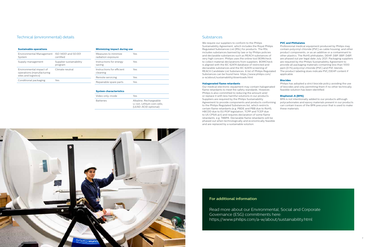# Technical (environmental) details

### **Sustainable operations**

| Environmental Management<br>System                                           | ISO 14001 and 50,001<br>certified  |
|------------------------------------------------------------------------------|------------------------------------|
| Supply management                                                            | Supplier sustainability<br>program |
| Environmental impact of<br>operations (manufacturing<br>sites and logistics) | Climate neutral                    |
| Conditional packaging                                                        | Yes                                |

### **Minimizing impact during use**

| Measures to minimize<br>radiation exposure | Yes |
|--------------------------------------------|-----|
| Instructions for energy<br>saving          | Yes |
| Instructions for efficient<br>cleaning     | Yρς |
| Remote servicing                           | Yes |
| Repairable spare parts                     | Yes |

### **System characteristics**

| Video only-mode  | Yρς                                                                           |
|------------------|-------------------------------------------------------------------------------|
| <b>Batteries</b> | Alkaline, Rechargeable<br>Li-ion, Lithium coin cells,<br>(LEAD-ACID optional) |

We require our suppliers to conform to the Philips Sustainability Agreement, which includes the Royal Philips Regulated Substances List (RSL) for products. The RSL includes substances banned by law or by Philips policies and declarable substances such as REACH substances of very high concern. Philips uses the online tool BOMcheck to collect material declarations from suppliers. BOMCheck is aligned with the IEC 62474 database of restricted and declarable substances and the IEC 62474 screening of REACH Candidate List Substances. A list of Philips Regulated Substances can be found here: [https://www.philips.com/](https://www.philips.com/a-w/about/sustainability/downloads.htm) [a-w/about/sustainability/downloads.html](https://www.philips.com/a-w/about/sustainability/downloads.htm)

### **Halogenated flame retardants**

Our medical electronic equipment may contain halogenated flame retardants to meet fire safety standards. However, Philips is also committed to reducing the amount and/ or replace it with less harmful solutions in our products. Suppliers are required by the Philips Sustainability Agreement to provide components and products conforming to the Philips Regulated Substances list, which restricts certain flame retardants (e.g. PBDE and PBB due to RoHS, HBCDD due to EU POP legislation, TCPP and TCEP due to US CPSIA act) and requires declaration of some flame retardants, e.g. TBBPA. Declarable flame retardants will be phased out when technologically and economically feasible and are replaced by a sustainable solution.

### **PVC and Phthalates**

Professional medical equipment produced by Philips may contain polyvinyl chloride (PVC) as cable housing, and other product components, or as an additive or a contaminant to other plastics. The RoHS phthalates, DEHP, DBP, BBP, DiBP, are phased out per legal date July 2021. Packaging suppliers are required by the Philips Sustainability Agreement to provide all packaging materials containing less than 1000 ppm (0.1%) polyvinyl chloride (PVC) and PVC blends. The product labeling does indicate PVC/DEHP content if applicable.

### **Biocides**

Philips has adopted a strict biocide policy avoiding the use of biocides and only permitting them if no other technically feasible solution has been identified.

### **Bisphenol-A (BPA)**

BPA is not intentionally added to our products although polycarbonates and epoxy materials present in our products can contain traces of the BPA precursor that is used to make these materials.

# **For additional information**

Read more about our Environmental, Social and Corporate Governance (ESG) commitments here: <https://www.philips.com/a-w/about/sustainability.html>

# 6 7

# **Substances**